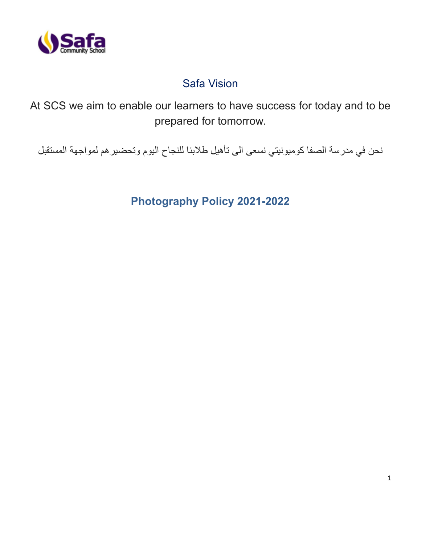

# Safa Vision

At SCS we aim to enable our learners to have success for today and to be prepared for tomorrow.

نحن في مدرسة الصفا كوميونيتي نسعى الى تأهيل طالبنا للنجاح اليوم وتحضيرهم لمواجهة المستقبل

**Photography Policy 2021-2022**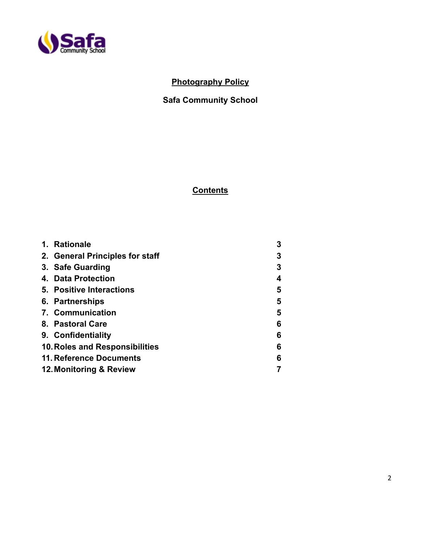

# **Photography Policy**

# **Safa Community School**

# **Contents**

| 1. | <b>Rationale</b>                | 3 |
|----|---------------------------------|---|
|    | 2. General Principles for staff | 3 |
|    | 3. Safe Guarding                | 3 |
|    | 4. Data Protection              | 4 |
|    | 5. Positive Interactions        | 5 |
|    | 6. Partnerships                 | 5 |
|    | 7. Communication                | 5 |
|    | 8. Pastoral Care                | 6 |
|    | 9. Confidentiality              | 6 |
|    | 10. Roles and Responsibilities  | 6 |
|    | 11. Reference Documents         | 6 |
|    | 12. Monitoring & Review         |   |
|    |                                 |   |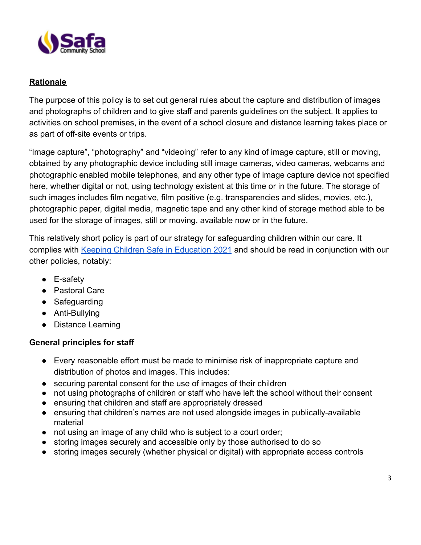

# **Rationale**

The purpose of this policy is to set out general rules about the capture and distribution of images and photographs of children and to give staff and parents guidelines on the subject. It applies to activities on school premises, in the event of a school closure and distance learning takes place or as part of off-site events or trips.

"Image capture", "photography" and "videoing" refer to any kind of image capture, still or moving, obtained by any photographic device including still image cameras, video cameras, webcams and photographic enabled mobile telephones, and any other type of image capture device not specified here, whether digital or not, using technology existent at this time or in the future. The storage of such images includes film negative, film positive (e.g. transparencies and slides, movies, etc.), photographic paper, digital media, magnetic tape and any other kind of storage method able to be used for the storage of images, still or moving, available now or in the future.

This relatively short policy is part of our strategy for safeguarding children within our care. It complies with [Keeping Children Safe in Education 2021](https://assets.publishing.service.gov.uk/government/uploads/system/uploads/attachment_data/file/1021914/KCSIE_2021_September_guidance.pdf) and should be read in conjunction with our other policies, notably:

- E-safety
- Pastoral Care
- Safeguarding
- Anti-Bullying
- Distance Learning

### **General principles for staff**

- Every reasonable effort must be made to minimise risk of inappropriate capture and distribution of photos and images. This includes:
- securing parental consent for the use of images of their children
- not using photographs of children or staff who have left the school without their consent
- ensuring that children and staff are appropriately dressed
- ensuring that children's names are not used alongside images in publically-available material
- not using an image of any child who is subject to a court order;
- storing images securely and accessible only by those authorised to do so
- storing images securely (whether physical or digital) with appropriate access controls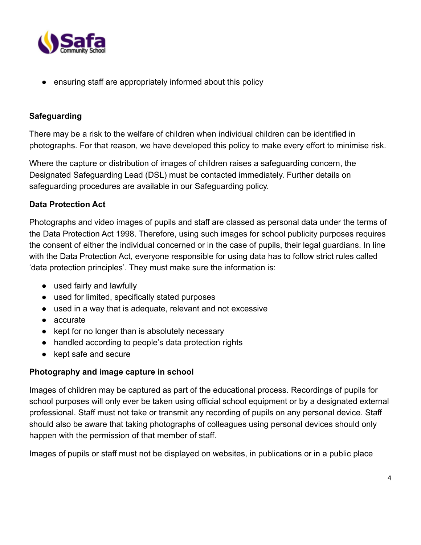

ensuring staff are appropriately informed about this policy

# **Safeguarding**

There may be a risk to the welfare of children when individual children can be identified in photographs. For that reason, we have developed this policy to make every effort to minimise risk.

Where the capture or distribution of images of children raises a safeguarding concern, the Designated Safeguarding Lead (DSL) must be contacted immediately. Further details on safeguarding procedures are available in our Safeguarding policy.

# **Data Protection Act**

Photographs and video images of pupils and staff are classed as personal data under the terms of the Data Protection Act 1998. Therefore, using such images for school publicity purposes requires the consent of either the individual concerned or in the case of pupils, their legal guardians. In line with the Data Protection Act, everyone responsible for using data has to follow strict rules called 'data protection principles'. They must make sure the information is:

- used fairly and lawfully
- used for limited, specifically stated purposes
- used in a way that is adequate, relevant and not excessive
- accurate
- kept for no longer than is absolutely necessary
- handled according to people's data protection rights
- kept safe and secure

### **Photography and image capture in school**

Images of children may be captured as part of the educational process. Recordings of pupils for school purposes will only ever be taken using official school equipment or by a designated external professional. Staff must not take or transmit any recording of pupils on any personal device. Staff should also be aware that taking photographs of colleagues using personal devices should only happen with the permission of that member of staff.

Images of pupils or staff must not be displayed on websites, in publications or in a public place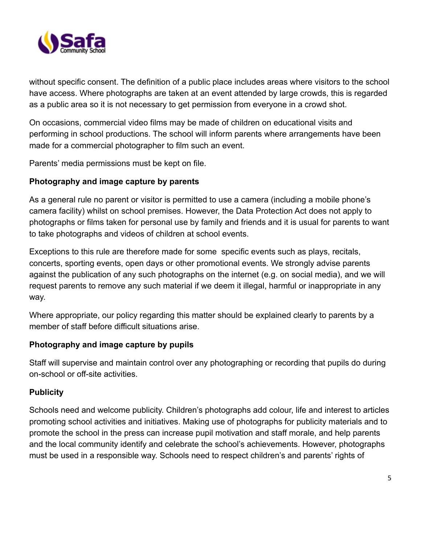

without specific consent. The definition of a public place includes areas where visitors to the school have access. Where photographs are taken at an event attended by large crowds, this is regarded as a public area so it is not necessary to get permission from everyone in a crowd shot.

On occasions, commercial video films may be made of children on educational visits and performing in school productions. The school will inform parents where arrangements have been made for a commercial photographer to film such an event.

Parents' media permissions must be kept on file.

### **Photography and image capture by parents**

As a general rule no parent or visitor is permitted to use a camera (including a mobile phone's camera facility) whilst on school premises. However, the Data Protection Act does not apply to photographs or films taken for personal use by family and friends and it is usual for parents to want to take photographs and videos of children at school events.

Exceptions to this rule are therefore made for some specific events such as plays, recitals, concerts, sporting events, open days or other promotional events. We strongly advise parents against the publication of any such photographs on the internet (e.g. on social media), and we will request parents to remove any such material if we deem it illegal, harmful or inappropriate in any way.

Where appropriate, our policy regarding this matter should be explained clearly to parents by a member of staff before difficult situations arise.

### **Photography and image capture by pupils**

Staff will supervise and maintain control over any photographing or recording that pupils do during on-school or off-site activities.

### **Publicity**

Schools need and welcome publicity. Children's photographs add colour, life and interest to articles promoting school activities and initiatives. Making use of photographs for publicity materials and to promote the school in the press can increase pupil motivation and staff morale, and help parents and the local community identify and celebrate the school's achievements. However, photographs must be used in a responsible way. Schools need to respect children's and parents' rights of